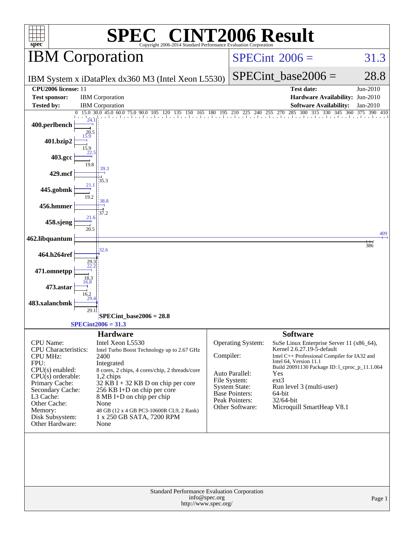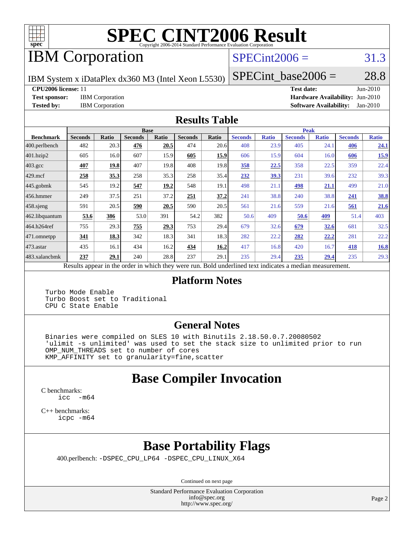

# **[SPEC CINT2006 Result](http://www.spec.org/auto/cpu2006/Docs/result-fields.html#SPECCINT2006Result)**

# IBM Corporation

## $SPECint2006 = 31.3$  $SPECint2006 = 31.3$

IBM System x iDataPlex dx360 M3 (Intel Xeon L5530)

 $SPECTnt\_base2006 = 28.8$ 

**[CPU2006 license:](http://www.spec.org/auto/cpu2006/Docs/result-fields.html#CPU2006license)** 11 **[Test date:](http://www.spec.org/auto/cpu2006/Docs/result-fields.html#Testdate)** Jun-2010

**[Test sponsor:](http://www.spec.org/auto/cpu2006/Docs/result-fields.html#Testsponsor)** IBM Corporation **[Hardware Availability:](http://www.spec.org/auto/cpu2006/Docs/result-fields.html#HardwareAvailability)** Jun-2010 **[Tested by:](http://www.spec.org/auto/cpu2006/Docs/result-fields.html#Testedby)** IBM Corporation **[Software Availability:](http://www.spec.org/auto/cpu2006/Docs/result-fields.html#SoftwareAvailability)** Jan-2010

#### **[Results Table](http://www.spec.org/auto/cpu2006/Docs/result-fields.html#ResultsTable)**

|                    |                                                   |              | <b>Base</b>    |              |                |       |                                                     |              | <b>Peak</b>    |              |                |              |
|--------------------|---------------------------------------------------|--------------|----------------|--------------|----------------|-------|-----------------------------------------------------|--------------|----------------|--------------|----------------|--------------|
| <b>Benchmark</b>   | <b>Seconds</b>                                    | <b>Ratio</b> | <b>Seconds</b> | <b>Ratio</b> | <b>Seconds</b> | Ratio | <b>Seconds</b>                                      | <b>Ratio</b> | <b>Seconds</b> | <b>Ratio</b> | <b>Seconds</b> | <b>Ratio</b> |
| 400.perlbench      | 482                                               | 20.3         | 476            | 20.5         | 474            | 20.6  | 408                                                 | 23.9         | 405            | 24.1         | 406            | 24.1         |
| 401.bzip2          | 605                                               | 16.0         | 607            | 15.9         | 605            | 15.9  | 606                                                 | 15.9         | 604            | 16.0         | 606            | <u>15.9</u>  |
| $403.\mathrm{gcc}$ | 407                                               | 19.8         | 407            | 19.8         | 408            | 19.8  | 358                                                 | 22.5         | 358            | 22.5         | 359            | 22.4         |
| $429$ .mcf         | 258                                               | 35.3         | 258            | 35.3         | 258            | 35.4  | 232                                                 | 39.3         | 231            | 39.6         | 232            | 39.3         |
| $445$ .gobmk       | 545                                               | 19.2         | 547            | 19.2         | 548            | 19.1  | 498                                                 | 21.1         | 498            | 21.1         | 499            | 21.0         |
| 456.hmmer          | 249                                               | 37.5         | 251            | 37.2         | 251            | 37.2  | 241                                                 | 38.8         | 240            | 38.8         | 241            | <u>38.8</u>  |
| $458$ .sjeng       | 591                                               | 20.5         | 590            | 20.5         | 590            | 20.5  | 561                                                 | 21.6         | 559            | 21.6         | 561            | 21.6         |
| 462.libquantum     | 53.6                                              | 386          | 53.0           | 391          | 54.2           | 382   | 50.6                                                | 409          | 50.6           | <u>409</u>   | 51.4           | 403          |
| 464.h264ref        | 755                                               | 29.3         | 755            | 29.3         | 753            | 29.4  | 679                                                 | 32.6         | 679            | 32.6         | 681            | 32.5         |
| 471.omnetpp        | 341                                               | 18.3         | 342            | 18.3         | 341            | 18.3  | 282                                                 | 22.2         | 282            | 22,2         | 281            | 22.2         |
| 473.astar          | 435                                               | 16.1         | 434            | 16.2         | 434            | 16.2  | 417                                                 | 16.8         | 420            | 16.7         | 418            | 16.8         |
| 483.xalancbmk      | 237                                               | 29.1         | 240            | 28.8         | 237            | 29.1  | 235                                                 | 29.4         | 235            | 29.4         | 235            | 29.3         |
|                    | Decute ennoye in the order in which they were mun |              |                |              |                |       | Dold underlined text indicates a madien measurement |              |                |              |                |              |

Results appear in the [order in which they were run.](http://www.spec.org/auto/cpu2006/Docs/result-fields.html#RunOrder) Bold underlined text [indicates a median measurement.](http://www.spec.org/auto/cpu2006/Docs/result-fields.html#Median)

### **[Platform Notes](http://www.spec.org/auto/cpu2006/Docs/result-fields.html#PlatformNotes)**

 Turbo Mode Enable Turbo Boost set to Traditional CPU C State Enable

### **[General Notes](http://www.spec.org/auto/cpu2006/Docs/result-fields.html#GeneralNotes)**

 Binaries were compiled on SLES 10 with Binutils 2.18.50.0.7.20080502 'ulimit -s unlimited' was used to set the stack size to unlimited prior to run OMP\_NUM\_THREADS set to number of cores KMP\_AFFINITY set to granularity=fine,scatter

# **[Base Compiler Invocation](http://www.spec.org/auto/cpu2006/Docs/result-fields.html#BaseCompilerInvocation)**

[C benchmarks](http://www.spec.org/auto/cpu2006/Docs/result-fields.html#Cbenchmarks): [icc -m64](http://www.spec.org/cpu2006/results/res2010q3/cpu2006-20100719-12489.flags.html#user_CCbase_intel_icc_64bit_f346026e86af2a669e726fe758c88044)

[C++ benchmarks:](http://www.spec.org/auto/cpu2006/Docs/result-fields.html#CXXbenchmarks) [icpc -m64](http://www.spec.org/cpu2006/results/res2010q3/cpu2006-20100719-12489.flags.html#user_CXXbase_intel_icpc_64bit_fc66a5337ce925472a5c54ad6a0de310)

# **[Base Portability Flags](http://www.spec.org/auto/cpu2006/Docs/result-fields.html#BasePortabilityFlags)**

400.perlbench: [-DSPEC\\_CPU\\_LP64](http://www.spec.org/cpu2006/results/res2010q3/cpu2006-20100719-12489.flags.html#b400.perlbench_basePORTABILITY_DSPEC_CPU_LP64) [-DSPEC\\_CPU\\_LINUX\\_X64](http://www.spec.org/cpu2006/results/res2010q3/cpu2006-20100719-12489.flags.html#b400.perlbench_baseCPORTABILITY_DSPEC_CPU_LINUX_X64)

Continued on next page

Standard Performance Evaluation Corporation [info@spec.org](mailto:info@spec.org) <http://www.spec.org/>

Page 2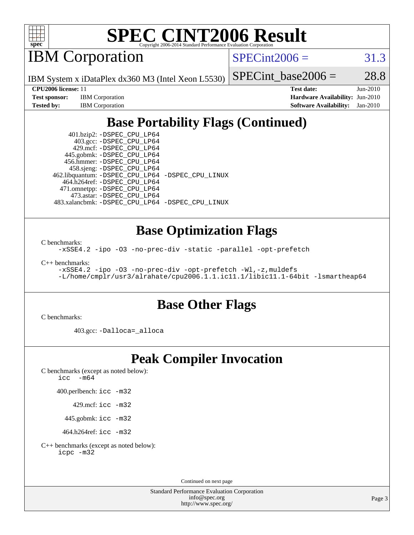

# **[SPEC CINT2006 Result](http://www.spec.org/auto/cpu2006/Docs/result-fields.html#SPECCINT2006Result)**

IBM Corporation

 $SPECint2006 = 31.3$  $SPECint2006 = 31.3$ 

SPECint base2006 =  $28.8$ 

IBM System x iDataPlex dx360 M3 (Intel Xeon L5530)

**[CPU2006 license:](http://www.spec.org/auto/cpu2006/Docs/result-fields.html#CPU2006license)** 11 **[Test date:](http://www.spec.org/auto/cpu2006/Docs/result-fields.html#Testdate)** Jun-2010 **[Test sponsor:](http://www.spec.org/auto/cpu2006/Docs/result-fields.html#Testsponsor)** IBM Corporation **[Hardware Availability:](http://www.spec.org/auto/cpu2006/Docs/result-fields.html#HardwareAvailability)** Jun-2010 **[Tested by:](http://www.spec.org/auto/cpu2006/Docs/result-fields.html#Testedby)** IBM Corporation **[Software Availability:](http://www.spec.org/auto/cpu2006/Docs/result-fields.html#SoftwareAvailability)** Jan-2010

# **[Base Portability Flags \(Continued\)](http://www.spec.org/auto/cpu2006/Docs/result-fields.html#BasePortabilityFlags)**

 401.bzip2: [-DSPEC\\_CPU\\_LP64](http://www.spec.org/cpu2006/results/res2010q3/cpu2006-20100719-12489.flags.html#suite_basePORTABILITY401_bzip2_DSPEC_CPU_LP64) 403.gcc: [-DSPEC\\_CPU\\_LP64](http://www.spec.org/cpu2006/results/res2010q3/cpu2006-20100719-12489.flags.html#suite_basePORTABILITY403_gcc_DSPEC_CPU_LP64) 429.mcf: [-DSPEC\\_CPU\\_LP64](http://www.spec.org/cpu2006/results/res2010q3/cpu2006-20100719-12489.flags.html#suite_basePORTABILITY429_mcf_DSPEC_CPU_LP64) 445.gobmk: [-DSPEC\\_CPU\\_LP64](http://www.spec.org/cpu2006/results/res2010q3/cpu2006-20100719-12489.flags.html#suite_basePORTABILITY445_gobmk_DSPEC_CPU_LP64) 456.hmmer: [-DSPEC\\_CPU\\_LP64](http://www.spec.org/cpu2006/results/res2010q3/cpu2006-20100719-12489.flags.html#suite_basePORTABILITY456_hmmer_DSPEC_CPU_LP64) 458.sjeng: [-DSPEC\\_CPU\\_LP64](http://www.spec.org/cpu2006/results/res2010q3/cpu2006-20100719-12489.flags.html#suite_basePORTABILITY458_sjeng_DSPEC_CPU_LP64) 462.libquantum: [-DSPEC\\_CPU\\_LP64](http://www.spec.org/cpu2006/results/res2010q3/cpu2006-20100719-12489.flags.html#suite_basePORTABILITY462_libquantum_DSPEC_CPU_LP64) [-DSPEC\\_CPU\\_LINUX](http://www.spec.org/cpu2006/results/res2010q3/cpu2006-20100719-12489.flags.html#b462.libquantum_baseCPORTABILITY_DSPEC_CPU_LINUX) 464.h264ref: [-DSPEC\\_CPU\\_LP64](http://www.spec.org/cpu2006/results/res2010q3/cpu2006-20100719-12489.flags.html#suite_basePORTABILITY464_h264ref_DSPEC_CPU_LP64) 471.omnetpp: [-DSPEC\\_CPU\\_LP64](http://www.spec.org/cpu2006/results/res2010q3/cpu2006-20100719-12489.flags.html#suite_basePORTABILITY471_omnetpp_DSPEC_CPU_LP64) 473.astar: [-DSPEC\\_CPU\\_LP64](http://www.spec.org/cpu2006/results/res2010q3/cpu2006-20100719-12489.flags.html#suite_basePORTABILITY473_astar_DSPEC_CPU_LP64) 483.xalancbmk: [-DSPEC\\_CPU\\_LP64](http://www.spec.org/cpu2006/results/res2010q3/cpu2006-20100719-12489.flags.html#suite_basePORTABILITY483_xalancbmk_DSPEC_CPU_LP64) [-DSPEC\\_CPU\\_LINUX](http://www.spec.org/cpu2006/results/res2010q3/cpu2006-20100719-12489.flags.html#b483.xalancbmk_baseCXXPORTABILITY_DSPEC_CPU_LINUX)

# **[Base Optimization Flags](http://www.spec.org/auto/cpu2006/Docs/result-fields.html#BaseOptimizationFlags)**

[C benchmarks](http://www.spec.org/auto/cpu2006/Docs/result-fields.html#Cbenchmarks):

[-xSSE4.2](http://www.spec.org/cpu2006/results/res2010q3/cpu2006-20100719-12489.flags.html#user_CCbase_f-xSSE42_f91528193cf0b216347adb8b939d4107) [-ipo](http://www.spec.org/cpu2006/results/res2010q3/cpu2006-20100719-12489.flags.html#user_CCbase_f-ipo) [-O3](http://www.spec.org/cpu2006/results/res2010q3/cpu2006-20100719-12489.flags.html#user_CCbase_f-O3) [-no-prec-div](http://www.spec.org/cpu2006/results/res2010q3/cpu2006-20100719-12489.flags.html#user_CCbase_f-no-prec-div) [-static](http://www.spec.org/cpu2006/results/res2010q3/cpu2006-20100719-12489.flags.html#user_CCbase_f-static) [-parallel](http://www.spec.org/cpu2006/results/res2010q3/cpu2006-20100719-12489.flags.html#user_CCbase_f-parallel) [-opt-prefetch](http://www.spec.org/cpu2006/results/res2010q3/cpu2006-20100719-12489.flags.html#user_CCbase_f-opt-prefetch)

[C++ benchmarks:](http://www.spec.org/auto/cpu2006/Docs/result-fields.html#CXXbenchmarks)

```
-xSSE4.2 -ipo -O3 -no-prec-div -opt-prefetch -Wl,-z,muldefs
-L/home/cmplr/usr3/alrahate/cpu2006.1.1.ic11.1/libic11.1-64bit -lsmartheap64
```
# **[Base Other Flags](http://www.spec.org/auto/cpu2006/Docs/result-fields.html#BaseOtherFlags)**

[C benchmarks](http://www.spec.org/auto/cpu2006/Docs/result-fields.html#Cbenchmarks):

403.gcc: [-Dalloca=\\_alloca](http://www.spec.org/cpu2006/results/res2010q3/cpu2006-20100719-12489.flags.html#b403.gcc_baseEXTRA_CFLAGS_Dalloca_be3056838c12de2578596ca5467af7f3)

## **[Peak Compiler Invocation](http://www.spec.org/auto/cpu2006/Docs/result-fields.html#PeakCompilerInvocation)**

[C benchmarks \(except as noted below\)](http://www.spec.org/auto/cpu2006/Docs/result-fields.html#Cbenchmarksexceptasnotedbelow): [icc -m64](http://www.spec.org/cpu2006/results/res2010q3/cpu2006-20100719-12489.flags.html#user_CCpeak_intel_icc_64bit_f346026e86af2a669e726fe758c88044)

400.perlbench: [icc -m32](http://www.spec.org/cpu2006/results/res2010q3/cpu2006-20100719-12489.flags.html#user_peakCCLD400_perlbench_intel_icc_32bit_a6a621f8d50482236b970c6ac5f55f93)

429.mcf: [icc -m32](http://www.spec.org/cpu2006/results/res2010q3/cpu2006-20100719-12489.flags.html#user_peakCCLD429_mcf_intel_icc_32bit_a6a621f8d50482236b970c6ac5f55f93)

445.gobmk: [icc -m32](http://www.spec.org/cpu2006/results/res2010q3/cpu2006-20100719-12489.flags.html#user_peakCCLD445_gobmk_intel_icc_32bit_a6a621f8d50482236b970c6ac5f55f93)

464.h264ref: [icc -m32](http://www.spec.org/cpu2006/results/res2010q3/cpu2006-20100719-12489.flags.html#user_peakCCLD464_h264ref_intel_icc_32bit_a6a621f8d50482236b970c6ac5f55f93)

[C++ benchmarks \(except as noted below\):](http://www.spec.org/auto/cpu2006/Docs/result-fields.html#CXXbenchmarksexceptasnotedbelow) [icpc -m32](http://www.spec.org/cpu2006/results/res2010q3/cpu2006-20100719-12489.flags.html#user_CXXpeak_intel_icpc_32bit_4e5a5ef1a53fd332b3c49e69c3330699)

Continued on next page

Standard Performance Evaluation Corporation [info@spec.org](mailto:info@spec.org) <http://www.spec.org/>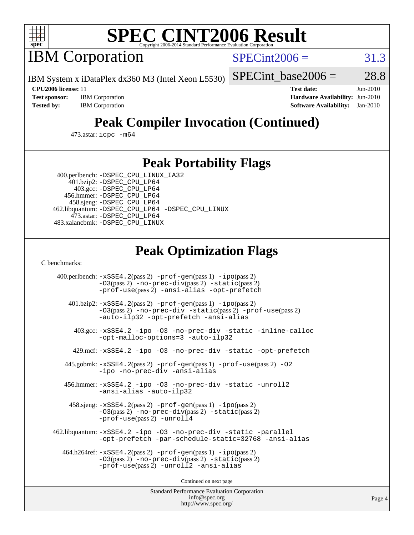

# **[SPEC CINT2006 Result](http://www.spec.org/auto/cpu2006/Docs/result-fields.html#SPECCINT2006Result)**

IBM Corporation

 $SPECint2006 = 31.3$  $SPECint2006 = 31.3$ 

IBM System x iDataPlex dx360 M3 (Intel Xeon L5530)

SPECint base2006 =  $28.8$ 

**[Test sponsor:](http://www.spec.org/auto/cpu2006/Docs/result-fields.html#Testsponsor)** IBM Corporation **[Hardware Availability:](http://www.spec.org/auto/cpu2006/Docs/result-fields.html#HardwareAvailability)** Jun-2010

**[CPU2006 license:](http://www.spec.org/auto/cpu2006/Docs/result-fields.html#CPU2006license)** 11 **[Test date:](http://www.spec.org/auto/cpu2006/Docs/result-fields.html#Testdate)** Jun-2010 **[Tested by:](http://www.spec.org/auto/cpu2006/Docs/result-fields.html#Testedby)** IBM Corporation **[Software Availability:](http://www.spec.org/auto/cpu2006/Docs/result-fields.html#SoftwareAvailability)** Jan-2010

# **[Peak Compiler Invocation \(Continued\)](http://www.spec.org/auto/cpu2006/Docs/result-fields.html#PeakCompilerInvocation)**

473.astar: [icpc -m64](http://www.spec.org/cpu2006/results/res2010q3/cpu2006-20100719-12489.flags.html#user_peakCXXLD473_astar_intel_icpc_64bit_fc66a5337ce925472a5c54ad6a0de310)

### **[Peak Portability Flags](http://www.spec.org/auto/cpu2006/Docs/result-fields.html#PeakPortabilityFlags)**

 400.perlbench: [-DSPEC\\_CPU\\_LINUX\\_IA32](http://www.spec.org/cpu2006/results/res2010q3/cpu2006-20100719-12489.flags.html#b400.perlbench_peakCPORTABILITY_DSPEC_CPU_LINUX_IA32) 401.bzip2: [-DSPEC\\_CPU\\_LP64](http://www.spec.org/cpu2006/results/res2010q3/cpu2006-20100719-12489.flags.html#suite_peakPORTABILITY401_bzip2_DSPEC_CPU_LP64)

 403.gcc: [-DSPEC\\_CPU\\_LP64](http://www.spec.org/cpu2006/results/res2010q3/cpu2006-20100719-12489.flags.html#suite_peakPORTABILITY403_gcc_DSPEC_CPU_LP64) 456.hmmer: [-DSPEC\\_CPU\\_LP64](http://www.spec.org/cpu2006/results/res2010q3/cpu2006-20100719-12489.flags.html#suite_peakPORTABILITY456_hmmer_DSPEC_CPU_LP64) 458.sjeng: [-DSPEC\\_CPU\\_LP64](http://www.spec.org/cpu2006/results/res2010q3/cpu2006-20100719-12489.flags.html#suite_peakPORTABILITY458_sjeng_DSPEC_CPU_LP64) 462.libquantum: [-DSPEC\\_CPU\\_LP64](http://www.spec.org/cpu2006/results/res2010q3/cpu2006-20100719-12489.flags.html#suite_peakPORTABILITY462_libquantum_DSPEC_CPU_LP64) [-DSPEC\\_CPU\\_LINUX](http://www.spec.org/cpu2006/results/res2010q3/cpu2006-20100719-12489.flags.html#b462.libquantum_peakCPORTABILITY_DSPEC_CPU_LINUX) 473.astar: [-DSPEC\\_CPU\\_LP64](http://www.spec.org/cpu2006/results/res2010q3/cpu2006-20100719-12489.flags.html#suite_peakPORTABILITY473_astar_DSPEC_CPU_LP64) 483.xalancbmk: [-DSPEC\\_CPU\\_LINUX](http://www.spec.org/cpu2006/results/res2010q3/cpu2006-20100719-12489.flags.html#b483.xalancbmk_peakCXXPORTABILITY_DSPEC_CPU_LINUX)

# **[Peak Optimization Flags](http://www.spec.org/auto/cpu2006/Docs/result-fields.html#PeakOptimizationFlags)**

[C benchmarks](http://www.spec.org/auto/cpu2006/Docs/result-fields.html#Cbenchmarks):

 400.perlbench: [-xSSE4.2](http://www.spec.org/cpu2006/results/res2010q3/cpu2006-20100719-12489.flags.html#user_peakPASS2_CFLAGSPASS2_LDCFLAGS400_perlbench_f-xSSE42_f91528193cf0b216347adb8b939d4107)(pass 2) [-prof-gen](http://www.spec.org/cpu2006/results/res2010q3/cpu2006-20100719-12489.flags.html#user_peakPASS1_CFLAGSPASS1_LDCFLAGS400_perlbench_prof_gen_e43856698f6ca7b7e442dfd80e94a8fc)(pass 1) [-ipo](http://www.spec.org/cpu2006/results/res2010q3/cpu2006-20100719-12489.flags.html#user_peakPASS2_CFLAGSPASS2_LDCFLAGS400_perlbench_f-ipo)(pass 2) [-O3](http://www.spec.org/cpu2006/results/res2010q3/cpu2006-20100719-12489.flags.html#user_peakPASS2_CFLAGSPASS2_LDCFLAGS400_perlbench_f-O3)(pass 2) [-no-prec-div](http://www.spec.org/cpu2006/results/res2010q3/cpu2006-20100719-12489.flags.html#user_peakPASS2_CFLAGSPASS2_LDCFLAGS400_perlbench_f-no-prec-div)(pass 2) [-static](http://www.spec.org/cpu2006/results/res2010q3/cpu2006-20100719-12489.flags.html#user_peakPASS2_CFLAGSPASS2_LDCFLAGS400_perlbench_f-static)(pass 2) [-prof-use](http://www.spec.org/cpu2006/results/res2010q3/cpu2006-20100719-12489.flags.html#user_peakPASS2_CFLAGSPASS2_LDCFLAGS400_perlbench_prof_use_bccf7792157ff70d64e32fe3e1250b55)(pass 2) [-ansi-alias](http://www.spec.org/cpu2006/results/res2010q3/cpu2006-20100719-12489.flags.html#user_peakCOPTIMIZE400_perlbench_f-ansi-alias) [-opt-prefetch](http://www.spec.org/cpu2006/results/res2010q3/cpu2006-20100719-12489.flags.html#user_peakCOPTIMIZE400_perlbench_f-opt-prefetch) 401.bzip2: [-xSSE4.2](http://www.spec.org/cpu2006/results/res2010q3/cpu2006-20100719-12489.flags.html#user_peakPASS2_CFLAGSPASS2_LDCFLAGS401_bzip2_f-xSSE42_f91528193cf0b216347adb8b939d4107)(pass 2) [-prof-gen](http://www.spec.org/cpu2006/results/res2010q3/cpu2006-20100719-12489.flags.html#user_peakPASS1_CFLAGSPASS1_LDCFLAGS401_bzip2_prof_gen_e43856698f6ca7b7e442dfd80e94a8fc)(pass 1) [-ipo](http://www.spec.org/cpu2006/results/res2010q3/cpu2006-20100719-12489.flags.html#user_peakPASS2_CFLAGSPASS2_LDCFLAGS401_bzip2_f-ipo)(pass 2) [-O3](http://www.spec.org/cpu2006/results/res2010q3/cpu2006-20100719-12489.flags.html#user_peakPASS2_CFLAGSPASS2_LDCFLAGS401_bzip2_f-O3)(pass 2) [-no-prec-div](http://www.spec.org/cpu2006/results/res2010q3/cpu2006-20100719-12489.flags.html#user_peakCOPTIMIZEPASS2_CFLAGSPASS2_LDCFLAGS401_bzip2_f-no-prec-div) [-static](http://www.spec.org/cpu2006/results/res2010q3/cpu2006-20100719-12489.flags.html#user_peakPASS2_CFLAGSPASS2_LDCFLAGS401_bzip2_f-static)(pass 2) [-prof-use](http://www.spec.org/cpu2006/results/res2010q3/cpu2006-20100719-12489.flags.html#user_peakPASS2_CFLAGSPASS2_LDCFLAGS401_bzip2_prof_use_bccf7792157ff70d64e32fe3e1250b55)(pass 2) [-auto-ilp32](http://www.spec.org/cpu2006/results/res2010q3/cpu2006-20100719-12489.flags.html#user_peakCOPTIMIZE401_bzip2_f-auto-ilp32) [-opt-prefetch](http://www.spec.org/cpu2006/results/res2010q3/cpu2006-20100719-12489.flags.html#user_peakCOPTIMIZE401_bzip2_f-opt-prefetch) [-ansi-alias](http://www.spec.org/cpu2006/results/res2010q3/cpu2006-20100719-12489.flags.html#user_peakCOPTIMIZE401_bzip2_f-ansi-alias) 403.gcc: [-xSSE4.2](http://www.spec.org/cpu2006/results/res2010q3/cpu2006-20100719-12489.flags.html#user_peakCOPTIMIZE403_gcc_f-xSSE42_f91528193cf0b216347adb8b939d4107) [-ipo](http://www.spec.org/cpu2006/results/res2010q3/cpu2006-20100719-12489.flags.html#user_peakCOPTIMIZE403_gcc_f-ipo) [-O3](http://www.spec.org/cpu2006/results/res2010q3/cpu2006-20100719-12489.flags.html#user_peakCOPTIMIZE403_gcc_f-O3) [-no-prec-div](http://www.spec.org/cpu2006/results/res2010q3/cpu2006-20100719-12489.flags.html#user_peakCOPTIMIZE403_gcc_f-no-prec-div) [-static](http://www.spec.org/cpu2006/results/res2010q3/cpu2006-20100719-12489.flags.html#user_peakCOPTIMIZE403_gcc_f-static) [-inline-calloc](http://www.spec.org/cpu2006/results/res2010q3/cpu2006-20100719-12489.flags.html#user_peakCOPTIMIZE403_gcc_f-inline-calloc) [-opt-malloc-options=3](http://www.spec.org/cpu2006/results/res2010q3/cpu2006-20100719-12489.flags.html#user_peakCOPTIMIZE403_gcc_f-opt-malloc-options_13ab9b803cf986b4ee62f0a5998c2238) [-auto-ilp32](http://www.spec.org/cpu2006/results/res2010q3/cpu2006-20100719-12489.flags.html#user_peakCOPTIMIZE403_gcc_f-auto-ilp32) 429.mcf: [-xSSE4.2](http://www.spec.org/cpu2006/results/res2010q3/cpu2006-20100719-12489.flags.html#user_peakCOPTIMIZE429_mcf_f-xSSE42_f91528193cf0b216347adb8b939d4107) [-ipo](http://www.spec.org/cpu2006/results/res2010q3/cpu2006-20100719-12489.flags.html#user_peakCOPTIMIZE429_mcf_f-ipo) [-O3](http://www.spec.org/cpu2006/results/res2010q3/cpu2006-20100719-12489.flags.html#user_peakCOPTIMIZE429_mcf_f-O3) [-no-prec-div](http://www.spec.org/cpu2006/results/res2010q3/cpu2006-20100719-12489.flags.html#user_peakCOPTIMIZE429_mcf_f-no-prec-div) [-static](http://www.spec.org/cpu2006/results/res2010q3/cpu2006-20100719-12489.flags.html#user_peakCOPTIMIZE429_mcf_f-static) [-opt-prefetch](http://www.spec.org/cpu2006/results/res2010q3/cpu2006-20100719-12489.flags.html#user_peakCOPTIMIZE429_mcf_f-opt-prefetch) 445.gobmk: [-xSSE4.2](http://www.spec.org/cpu2006/results/res2010q3/cpu2006-20100719-12489.flags.html#user_peakPASS2_CFLAGSPASS2_LDCFLAGS445_gobmk_f-xSSE42_f91528193cf0b216347adb8b939d4107)(pass 2) [-prof-gen](http://www.spec.org/cpu2006/results/res2010q3/cpu2006-20100719-12489.flags.html#user_peakPASS1_CFLAGSPASS1_LDCFLAGS445_gobmk_prof_gen_e43856698f6ca7b7e442dfd80e94a8fc)(pass 1) [-prof-use](http://www.spec.org/cpu2006/results/res2010q3/cpu2006-20100719-12489.flags.html#user_peakPASS2_CFLAGSPASS2_LDCFLAGS445_gobmk_prof_use_bccf7792157ff70d64e32fe3e1250b55)(pass 2) [-O2](http://www.spec.org/cpu2006/results/res2010q3/cpu2006-20100719-12489.flags.html#user_peakCOPTIMIZE445_gobmk_f-O2) [-ipo](http://www.spec.org/cpu2006/results/res2010q3/cpu2006-20100719-12489.flags.html#user_peakCOPTIMIZE445_gobmk_f-ipo) [-no-prec-div](http://www.spec.org/cpu2006/results/res2010q3/cpu2006-20100719-12489.flags.html#user_peakCOPTIMIZE445_gobmk_f-no-prec-div) [-ansi-alias](http://www.spec.org/cpu2006/results/res2010q3/cpu2006-20100719-12489.flags.html#user_peakCOPTIMIZE445_gobmk_f-ansi-alias) 456.hmmer: [-xSSE4.2](http://www.spec.org/cpu2006/results/res2010q3/cpu2006-20100719-12489.flags.html#user_peakCOPTIMIZE456_hmmer_f-xSSE42_f91528193cf0b216347adb8b939d4107) [-ipo](http://www.spec.org/cpu2006/results/res2010q3/cpu2006-20100719-12489.flags.html#user_peakCOPTIMIZE456_hmmer_f-ipo) [-O3](http://www.spec.org/cpu2006/results/res2010q3/cpu2006-20100719-12489.flags.html#user_peakCOPTIMIZE456_hmmer_f-O3) [-no-prec-div](http://www.spec.org/cpu2006/results/res2010q3/cpu2006-20100719-12489.flags.html#user_peakCOPTIMIZE456_hmmer_f-no-prec-div) [-static](http://www.spec.org/cpu2006/results/res2010q3/cpu2006-20100719-12489.flags.html#user_peakCOPTIMIZE456_hmmer_f-static) [-unroll2](http://www.spec.org/cpu2006/results/res2010q3/cpu2006-20100719-12489.flags.html#user_peakCOPTIMIZE456_hmmer_f-unroll_784dae83bebfb236979b41d2422d7ec2) [-ansi-alias](http://www.spec.org/cpu2006/results/res2010q3/cpu2006-20100719-12489.flags.html#user_peakCOPTIMIZE456_hmmer_f-ansi-alias) [-auto-ilp32](http://www.spec.org/cpu2006/results/res2010q3/cpu2006-20100719-12489.flags.html#user_peakCOPTIMIZE456_hmmer_f-auto-ilp32) 458.sjeng: [-xSSE4.2](http://www.spec.org/cpu2006/results/res2010q3/cpu2006-20100719-12489.flags.html#user_peakPASS2_CFLAGSPASS2_LDCFLAGS458_sjeng_f-xSSE42_f91528193cf0b216347adb8b939d4107)(pass 2) [-prof-gen](http://www.spec.org/cpu2006/results/res2010q3/cpu2006-20100719-12489.flags.html#user_peakPASS1_CFLAGSPASS1_LDCFLAGS458_sjeng_prof_gen_e43856698f6ca7b7e442dfd80e94a8fc)(pass 1) [-ipo](http://www.spec.org/cpu2006/results/res2010q3/cpu2006-20100719-12489.flags.html#user_peakPASS2_CFLAGSPASS2_LDCFLAGS458_sjeng_f-ipo)(pass 2) [-O3](http://www.spec.org/cpu2006/results/res2010q3/cpu2006-20100719-12489.flags.html#user_peakPASS2_CFLAGSPASS2_LDCFLAGS458_sjeng_f-O3)(pass 2) [-no-prec-div](http://www.spec.org/cpu2006/results/res2010q3/cpu2006-20100719-12489.flags.html#user_peakPASS2_CFLAGSPASS2_LDCFLAGS458_sjeng_f-no-prec-div)(pass 2) [-static](http://www.spec.org/cpu2006/results/res2010q3/cpu2006-20100719-12489.flags.html#user_peakPASS2_CFLAGSPASS2_LDCFLAGS458_sjeng_f-static)(pass 2) [-prof-use](http://www.spec.org/cpu2006/results/res2010q3/cpu2006-20100719-12489.flags.html#user_peakPASS2_CFLAGSPASS2_LDCFLAGS458_sjeng_prof_use_bccf7792157ff70d64e32fe3e1250b55)(pass 2) [-unroll4](http://www.spec.org/cpu2006/results/res2010q3/cpu2006-20100719-12489.flags.html#user_peakCOPTIMIZE458_sjeng_f-unroll_4e5e4ed65b7fd20bdcd365bec371b81f) 462.libquantum: [-xSSE4.2](http://www.spec.org/cpu2006/results/res2010q3/cpu2006-20100719-12489.flags.html#user_peakCOPTIMIZE462_libquantum_f-xSSE42_f91528193cf0b216347adb8b939d4107) [-ipo](http://www.spec.org/cpu2006/results/res2010q3/cpu2006-20100719-12489.flags.html#user_peakCOPTIMIZE462_libquantum_f-ipo) [-O3](http://www.spec.org/cpu2006/results/res2010q3/cpu2006-20100719-12489.flags.html#user_peakCOPTIMIZE462_libquantum_f-O3) [-no-prec-div](http://www.spec.org/cpu2006/results/res2010q3/cpu2006-20100719-12489.flags.html#user_peakCOPTIMIZE462_libquantum_f-no-prec-div) [-static](http://www.spec.org/cpu2006/results/res2010q3/cpu2006-20100719-12489.flags.html#user_peakCOPTIMIZE462_libquantum_f-static) [-parallel](http://www.spec.org/cpu2006/results/res2010q3/cpu2006-20100719-12489.flags.html#user_peakCOPTIMIZE462_libquantum_f-parallel) [-opt-prefetch](http://www.spec.org/cpu2006/results/res2010q3/cpu2006-20100719-12489.flags.html#user_peakCOPTIMIZE462_libquantum_f-opt-prefetch) [-par-schedule-static=32768](http://www.spec.org/cpu2006/results/res2010q3/cpu2006-20100719-12489.flags.html#user_peakCOPTIMIZE462_libquantum_f-par-schedule_9386bcd99ba64e99ee01d1aafefddd14) [-ansi-alias](http://www.spec.org/cpu2006/results/res2010q3/cpu2006-20100719-12489.flags.html#user_peakCOPTIMIZE462_libquantum_f-ansi-alias) 464.h264ref: [-xSSE4.2](http://www.spec.org/cpu2006/results/res2010q3/cpu2006-20100719-12489.flags.html#user_peakPASS2_CFLAGSPASS2_LDCFLAGS464_h264ref_f-xSSE42_f91528193cf0b216347adb8b939d4107)(pass 2) [-prof-gen](http://www.spec.org/cpu2006/results/res2010q3/cpu2006-20100719-12489.flags.html#user_peakPASS1_CFLAGSPASS1_LDCFLAGS464_h264ref_prof_gen_e43856698f6ca7b7e442dfd80e94a8fc)(pass 1) [-ipo](http://www.spec.org/cpu2006/results/res2010q3/cpu2006-20100719-12489.flags.html#user_peakPASS2_CFLAGSPASS2_LDCFLAGS464_h264ref_f-ipo)(pass 2) [-O3](http://www.spec.org/cpu2006/results/res2010q3/cpu2006-20100719-12489.flags.html#user_peakPASS2_CFLAGSPASS2_LDCFLAGS464_h264ref_f-O3)(pass 2) [-no-prec-div](http://www.spec.org/cpu2006/results/res2010q3/cpu2006-20100719-12489.flags.html#user_peakPASS2_CFLAGSPASS2_LDCFLAGS464_h264ref_f-no-prec-div)(pass 2) [-static](http://www.spec.org/cpu2006/results/res2010q3/cpu2006-20100719-12489.flags.html#user_peakPASS2_CFLAGSPASS2_LDCFLAGS464_h264ref_f-static)(pass 2) [-prof-use](http://www.spec.org/cpu2006/results/res2010q3/cpu2006-20100719-12489.flags.html#user_peakPASS2_CFLAGSPASS2_LDCFLAGS464_h264ref_prof_use_bccf7792157ff70d64e32fe3e1250b55)(pass 2) [-unroll2](http://www.spec.org/cpu2006/results/res2010q3/cpu2006-20100719-12489.flags.html#user_peakCOPTIMIZE464_h264ref_f-unroll_784dae83bebfb236979b41d2422d7ec2) [-ansi-alias](http://www.spec.org/cpu2006/results/res2010q3/cpu2006-20100719-12489.flags.html#user_peakCOPTIMIZE464_h264ref_f-ansi-alias)

Continued on next page

Standard Performance Evaluation Corporation [info@spec.org](mailto:info@spec.org) <http://www.spec.org/>